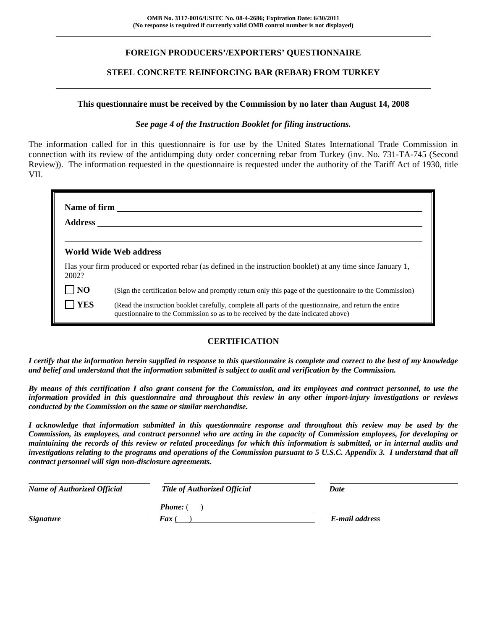## **FOREIGN PRODUCERS'/EXPORTERS' QUESTIONNAIRE**

### **STEEL CONCRETE REINFORCING BAR (REBAR) FROM TURKEY**

#### **This questionnaire must be received by the Commission by no later than August 14, 2008**

#### *See page 4 of the Instruction Booklet for filing instructions.*

The information called for in this questionnaire is for use by the United States International Trade Commission in connection with its review of the antidumping duty order concerning rebar from Turkey (inv. No. 731-TA-745 (Second Review)). The information requested in the questionnaire is requested under the authority of the Tariff Act of 1930, title VII.

| 2002?          | Has your firm produced or exported rebar (as defined in the instruction booklet) at any time since January 1,                                                                                |
|----------------|----------------------------------------------------------------------------------------------------------------------------------------------------------------------------------------------|
| N <sub>O</sub> | (Sign the certification below and promptly return only this page of the questionnaire to the Commission)                                                                                     |
| YES            | (Read the instruction booklet carefully, complete all parts of the questionnaire, and return the entire<br>questionnaire to the Commission so as to be received by the date indicated above) |

## **CERTIFICATION**

*I certify that the information herein supplied in response to this questionnaire is complete and correct to the best of my knowledge and belief and understand that the information submitted is subject to audit and verification by the Commission.* 

*By means of this certification I also grant consent for the Commission, and its employees and contract personnel, to use the information provided in this questionnaire and throughout this review in any other import-injury investigations or reviews conducted by the Commission on the same or similar merchandise.* 

*I acknowledge that information submitted in this questionnaire response and throughout this review may be used by the Commission, its employees, and contract personnel who are acting in the capacity of Commission employees, for developing or maintaining the records of this review or related proceedings for which this information is submitted, or in internal audits and investigations relating to the programs and operations of the Commission pursuant to 5 U.S.C. Appendix 3. I understand that all contract personnel will sign non-disclosure agreements.* 

| <b>Name of Authorized Official</b> | <b>Title of Authorized Official</b> | Date           |
|------------------------------------|-------------------------------------|----------------|
|                                    | <b>Phone:</b> (                     |                |
| <b>Signature</b>                   | <b>Fax</b> (                        | E-mail address |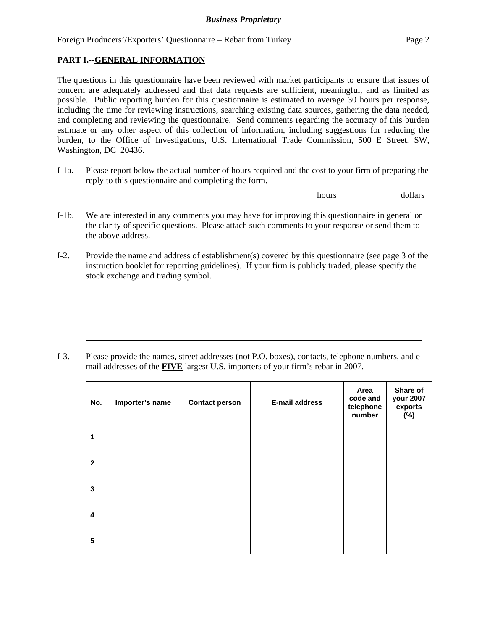### **PART I.--GENERAL INFORMATION**

 $\overline{a}$ 

 $\overline{a}$ 

 $\overline{a}$ 

The questions in this questionnaire have been reviewed with market participants to ensure that issues of concern are adequately addressed and that data requests are sufficient, meaningful, and as limited as possible. Public reporting burden for this questionnaire is estimated to average 30 hours per response, including the time for reviewing instructions, searching existing data sources, gathering the data needed, and completing and reviewing the questionnaire. Send comments regarding the accuracy of this burden estimate or any other aspect of this collection of information, including suggestions for reducing the burden, to the Office of Investigations, U.S. International Trade Commission, 500 E Street, SW, Washington, DC 20436.

I-1a. Please report below the actual number of hours required and the cost to your firm of preparing the reply to this questionnaire and completing the form.

hours dollars

- I-1b. We are interested in any comments you may have for improving this questionnaire in general or the clarity of specific questions. Please attach such comments to your response or send them to the above address.
- I-2. Provide the name and address of establishment(s) covered by this questionnaire (see page 3 of the instruction booklet for reporting guidelines). If your firm is publicly traded, please specify the stock exchange and trading symbol.

I-3. Please provide the names, street addresses (not P.O. boxes), contacts, telephone numbers, and email addresses of the **FIVE** largest U.S. importers of your firm's rebar in 2007.

| No.          | Importer's name | <b>Contact person</b> | <b>E-mail address</b> | Area<br>code and<br>telephone<br>number | Share of<br>your 2007<br>exports<br>$(\%)$ |
|--------------|-----------------|-----------------------|-----------------------|-----------------------------------------|--------------------------------------------|
| 1            |                 |                       |                       |                                         |                                            |
| $\mathbf{2}$ |                 |                       |                       |                                         |                                            |
| 3            |                 |                       |                       |                                         |                                            |
| 4            |                 |                       |                       |                                         |                                            |
| 5            |                 |                       |                       |                                         |                                            |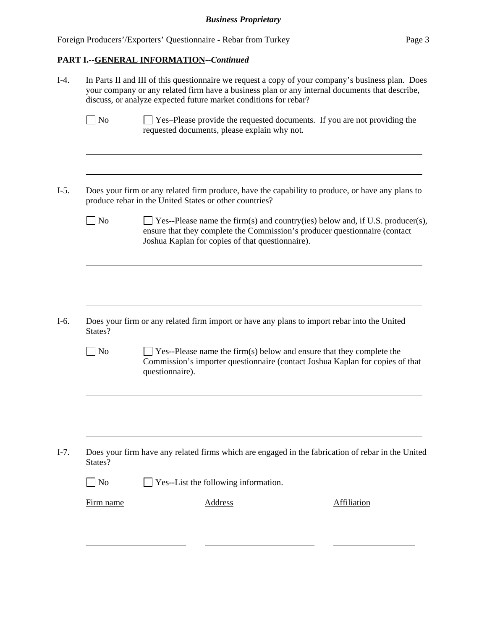## **PART I.--GENERAL INFORMATION--***Continued*

|                         | In Parts II and III of this questionnaire we request a copy of your company's business plan. Does<br>your company or any related firm have a business plan or any internal documents that describe,<br>discuss, or analyze expected future market conditions for rebar? |  |  |  |  |  |
|-------------------------|-------------------------------------------------------------------------------------------------------------------------------------------------------------------------------------------------------------------------------------------------------------------------|--|--|--|--|--|
| $\log$                  | Yes-Please provide the requested documents. If you are not providing the<br>requested documents, please explain why not.                                                                                                                                                |  |  |  |  |  |
|                         | Does your firm or any related firm produce, have the capability to produce, or have any plans to<br>produce rebar in the United States or other countries?                                                                                                              |  |  |  |  |  |
| $\Box$ No               | $\Box$ Yes--Please name the firm(s) and country(ies) below and, if U.S. producer(s),<br>ensure that they complete the Commission's producer questionnaire (contact<br>Joshua Kaplan for copies of that questionnaire).                                                  |  |  |  |  |  |
|                         | Does your firm or any related firm import or have any plans to import rebar into the United                                                                                                                                                                             |  |  |  |  |  |
| States?<br>$\vert$ No   | $\Box$ Yes--Please name the firm(s) below and ensure that they complete the<br>Commission's importer questionnaire (contact Joshua Kaplan for copies of that<br>questionnaire).                                                                                         |  |  |  |  |  |
|                         | Does your firm have any related firms which are engaged in the fabrication of rebar in the United                                                                                                                                                                       |  |  |  |  |  |
| States?<br>$\exists$ No |                                                                                                                                                                                                                                                                         |  |  |  |  |  |
| Firm name               | Yes--List the following information.<br><b>Address</b><br><b>Affiliation</b>                                                                                                                                                                                            |  |  |  |  |  |
|                         |                                                                                                                                                                                                                                                                         |  |  |  |  |  |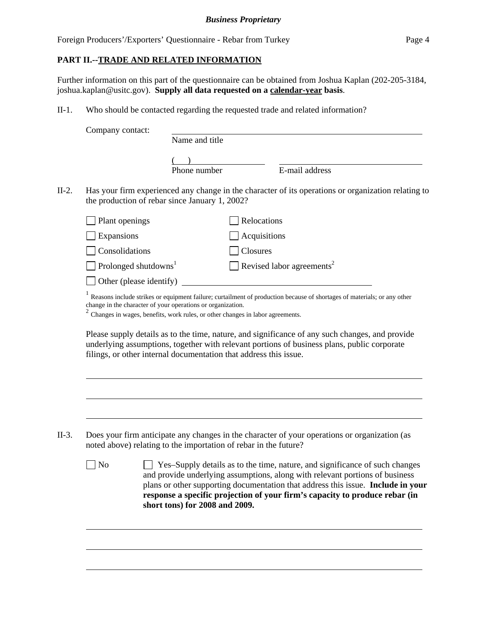## **PART II.--TRADE AND RELATED INFORMATION**

Further information on this part of the questionnaire can be obtained from Joshua Kaplan (202-205-3184, joshua.kaplan@usitc.gov). **Supply all data requested on a calendar-year basis**.

II-1. Who should be contacted regarding the requested trade and related information?

| Company contact:                        |                         | Name and title                                                                                                                                                                                                                                                      |              |                                       |  |  |
|-----------------------------------------|-------------------------|---------------------------------------------------------------------------------------------------------------------------------------------------------------------------------------------------------------------------------------------------------------------|--------------|---------------------------------------|--|--|
|                                         |                         |                                                                                                                                                                                                                                                                     |              |                                       |  |  |
|                                         |                         | Phone number                                                                                                                                                                                                                                                        |              | E-mail address                        |  |  |
|                                         |                         | Has your firm experienced any change in the character of its operations or organization relating to<br>the production of rebar since January 1, 2002?                                                                                                               |              |                                       |  |  |
| Plant openings                          |                         |                                                                                                                                                                                                                                                                     | Relocations  |                                       |  |  |
| Expansions                              |                         |                                                                                                                                                                                                                                                                     | Acquisitions |                                       |  |  |
| Consolidations                          |                         |                                                                                                                                                                                                                                                                     | Closures     |                                       |  |  |
| $\Box$ Prolonged shutdowns <sup>1</sup> |                         |                                                                                                                                                                                                                                                                     |              | Revised labor agreements <sup>2</sup> |  |  |
|                                         | Other (please identify) |                                                                                                                                                                                                                                                                     |              |                                       |  |  |
|                                         |                         | change in the character of your operations or organization.<br>$2$ Changes in wages, benefits, work rules, or other changes in labor agreements.                                                                                                                    |              |                                       |  |  |
|                                         |                         | Please supply details as to the time, nature, and significance of any such changes, and provide<br>underlying assumptions, together with relevant portions of business plans, public corporate<br>filings, or other internal documentation that address this issue. |              |                                       |  |  |
|                                         |                         | Does your firm anticipate any changes in the character of your operations or organization (as<br>noted above) relating to the importation of rebar in the future?                                                                                                   |              |                                       |  |  |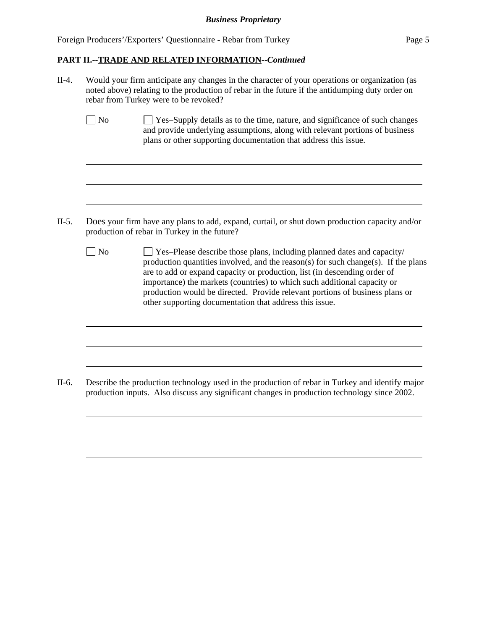Foreign Producers'/Exporters' Questionnaire - Rebar from Turkey Page 5

 $\overline{a}$ 

 $\overline{a}$ 

 $\overline{a}$ 

 $\overline{a}$ 

 $\overline{a}$ 

 $\overline{a}$ 

 $\overline{a}$ 

 $\overline{a}$ 

 $\overline{a}$ 

### **PART II.--TRADE AND RELATED INFORMATION--***Continued*

II-4. Would your firm anticipate any changes in the character of your operations or organization (as noted above) relating to the production of rebar in the future if the antidumping duty order on rebar from Turkey were to be revoked?

| $\Box$ No | □ Yes-Supply details as to the time, nature, and significance of such changes |
|-----------|-------------------------------------------------------------------------------|
|           | and provide underlying assumptions, along with relevant portions of business  |
|           | plans or other supporting documentation that address this issue.              |

- II-5. Does your firm have any plans to add, expand, curtail, or shut down production capacity and/or production of rebar in Turkey in the future?
	- $\Box$  No  $\Box$  Yes–Please describe those plans, including planned dates and capacity/ production quantities involved, and the reason(s) for such change(s). If the plans are to add or expand capacity or production, list (in descending order of importance) the markets (countries) to which such additional capacity or production would be directed. Provide relevant portions of business plans or other supporting documentation that address this issue.

II-6. Describe the production technology used in the production of rebar in Turkey and identify major production inputs. Also discuss any significant changes in production technology since 2002.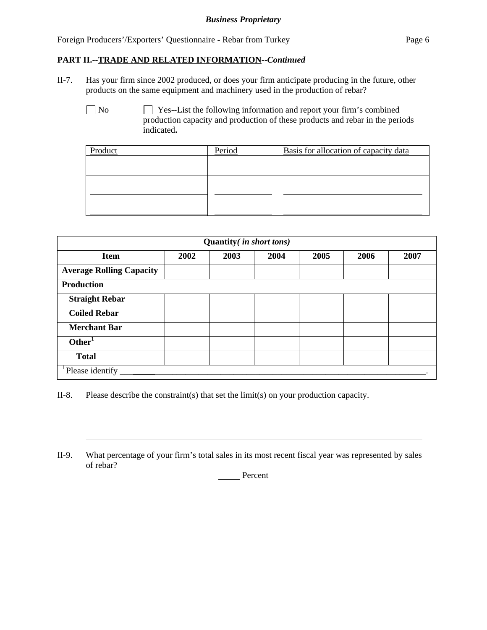Foreign Producers'/Exporters' Questionnaire - Rebar from Turkey Page 6

#### **PART II.--TRADE AND RELATED INFORMATION--***Continued*

II-7. Has your firm since 2002 produced, or does your firm anticipate producing in the future, other products on the same equipment and machinery used in the production of rebar?

No Ses--List the following information and report your firm's combined production capacity and production of these products and rebar in the periods indicated**.**

| Product | Period | Basis for allocation of capacity data |
|---------|--------|---------------------------------------|
|         |        |                                       |
|         |        |                                       |
|         |        |                                       |
|         |        |                                       |
|         |        |                                       |
|         |        |                                       |

| Quantity ( <i>in short tons</i> ) |      |      |      |      |      |      |  |
|-----------------------------------|------|------|------|------|------|------|--|
| <b>Item</b>                       | 2002 | 2003 | 2004 | 2005 | 2006 | 2007 |  |
| <b>Average Rolling Capacity</b>   |      |      |      |      |      |      |  |
| <b>Production</b>                 |      |      |      |      |      |      |  |
| <b>Straight Rebar</b>             |      |      |      |      |      |      |  |
| <b>Coiled Rebar</b>               |      |      |      |      |      |      |  |
| <b>Merchant Bar</b>               |      |      |      |      |      |      |  |
| Other <sup>1</sup>                |      |      |      |      |      |      |  |
| <b>Total</b>                      |      |      |      |      |      |      |  |
| Please identify                   |      |      |      |      |      |      |  |

II-8. Please describe the constraint(s) that set the limit(s) on your production capacity.

l

 $\overline{a}$ 

II-9. What percentage of your firm's total sales in its most recent fiscal year was represented by sales of rebar?

**Percent**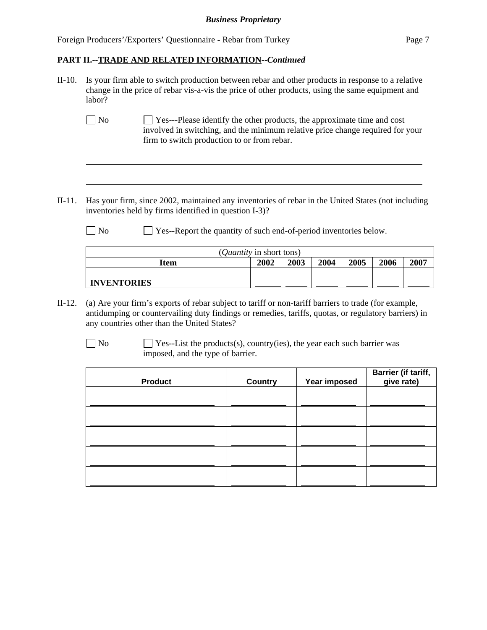Foreign Producers'/Exporters' Questionnaire - Rebar from Turkey Page 7

#### **PART II.--TRADE AND RELATED INFORMATION--***Continued*

- II-10. Is your firm able to switch production between rebar and other products in response to a relative change in the price of rebar vis-a-vis the price of other products, using the same equipment and labor?
	- No  $\Box$  Yes---Please identify the other products, the approximate time and cost involved in switching, and the minimum relative price change required for your firm to switch production to or from rebar.
- II-11. Has your firm, since 2002, maintained any inventories of rebar in the United States (not including inventories held by firms identified in question I-3)?
	- No Ses-Report the quantity of such end-of-period inventories below.

| ( <i>Quantity</i> in short tons)                     |  |  |  |  |  |  |  |
|------------------------------------------------------|--|--|--|--|--|--|--|
| 2003<br>2007<br>2002<br>2004<br>2006<br>2005<br>Item |  |  |  |  |  |  |  |
|                                                      |  |  |  |  |  |  |  |
| <b>INVENTORIES</b>                                   |  |  |  |  |  |  |  |

- II-12. (a) Are your firm's exports of rebar subject to tariff or non-tariff barriers to trade (for example, antidumping or countervailing duty findings or remedies, tariffs, quotas, or regulatory barriers) in any countries other than the United States?
	-

 $\overline{a}$ 

 $\overline{a}$ 

 $\Box$  No  $\Box$  Yes--List the products(s), country(ies), the year each such barrier was imposed, and the type of barrier.

| <b>Product</b> | <b>Country</b> | Year imposed | Barrier (if tariff,<br>give rate) |
|----------------|----------------|--------------|-----------------------------------|
|                |                |              |                                   |
|                |                |              |                                   |
|                |                |              |                                   |
|                |                |              |                                   |
|                |                |              |                                   |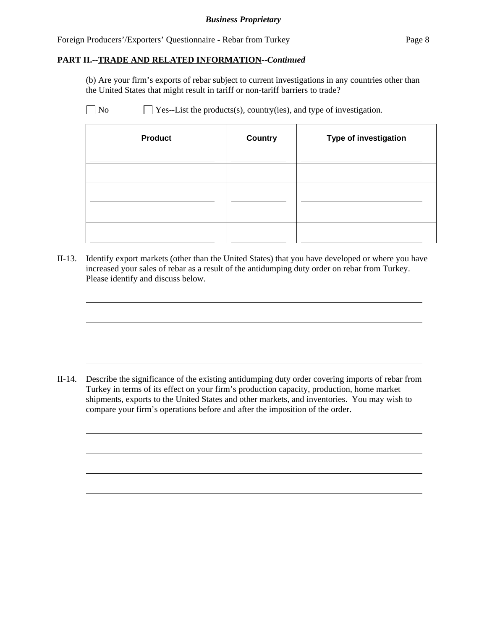Foreign Producers'/Exporters' Questionnaire - Rebar from Turkey Page 8

#### **PART II.--TRADE AND RELATED INFORMATION--***Continued*

(b) Are your firm's exports of rebar subject to current investigations in any countries other than the United States that might result in tariff or non-tariff barriers to trade?

 $\overline{a}$ 

 $\overline{a}$ 

 $\overline{a}$ 

 $\overline{a}$ 

 $\overline{a}$ 

 $\overline{a}$ 

 $\overline{a}$ 

 $\overline{a}$ 

 $\Box$  No  $\Box$  Yes--List the products(s), country(ies), and type of investigation.

| <b>Product</b> | <b>Country</b> | <b>Type of investigation</b> |
|----------------|----------------|------------------------------|
|                |                |                              |
|                |                |                              |
|                |                |                              |
|                |                |                              |
|                |                |                              |

II-13. Identify export markets (other than the United States) that you have developed or where you have increased your sales of rebar as a result of the antidumping duty order on rebar from Turkey. Please identify and discuss below.

II-14. Describe the significance of the existing antidumping duty order covering imports of rebar from Turkey in terms of its effect on your firm's production capacity, production, home market shipments, exports to the United States and other markets, and inventories. You may wish to compare your firm's operations before and after the imposition of the order.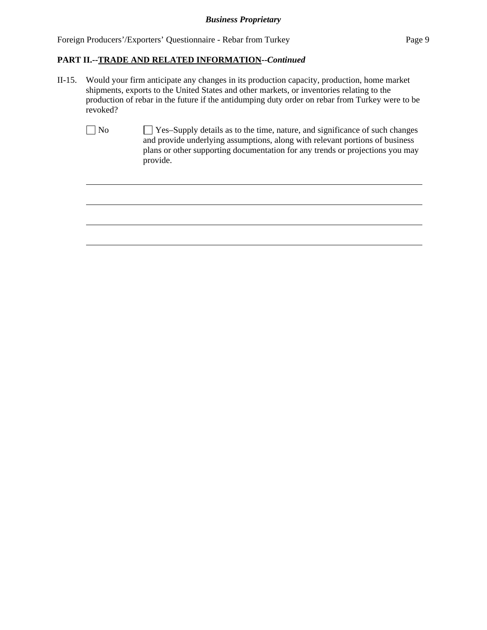$\overline{a}$ 

 $\overline{a}$ 

 $\overline{a}$ 

 $\overline{a}$ 

# **PART II.--TRADE AND RELATED INFORMATION--***Continued*

- II-15. Would your firm anticipate any changes in its production capacity, production, home market shipments, exports to the United States and other markets, or inventories relating to the production of rebar in the future if the antidumping duty order on rebar from Turkey were to be revoked?
	- No Yes–Supply details as to the time, nature, and significance of such changes and provide underlying assumptions, along with relevant portions of business plans or other supporting documentation for any trends or projections you may provide.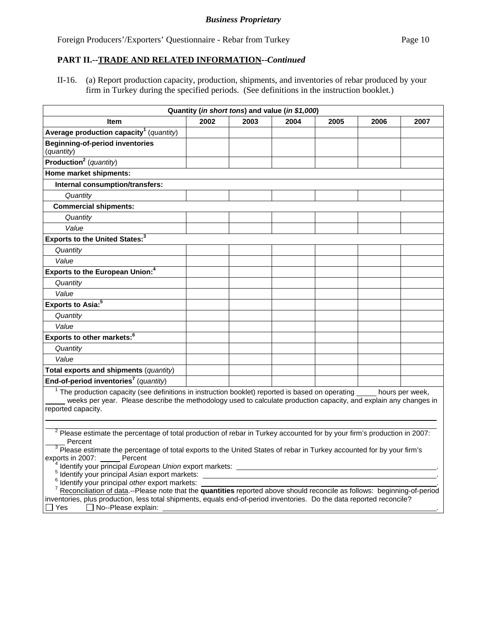## **PART II.--TRADE AND RELATED INFORMATION--***Continued*

II-16. (a) Report production capacity, production, shipments, and inventories of rebar produced by your firm in Turkey during the specified periods. (See definitions in the instruction booklet.)

|                                                                                                                                                                                                                                                                                                                                                                                                                                                                                                                                                                                                                                                                                                                                                                                               |      |      | Quantity ( <i>in short tons</i> ) and value ( <i>in \$1,000</i> ) |      |      |                 |
|-----------------------------------------------------------------------------------------------------------------------------------------------------------------------------------------------------------------------------------------------------------------------------------------------------------------------------------------------------------------------------------------------------------------------------------------------------------------------------------------------------------------------------------------------------------------------------------------------------------------------------------------------------------------------------------------------------------------------------------------------------------------------------------------------|------|------|-------------------------------------------------------------------|------|------|-----------------|
| Item                                                                                                                                                                                                                                                                                                                                                                                                                                                                                                                                                                                                                                                                                                                                                                                          | 2002 | 2003 | 2004                                                              | 2005 | 2006 | 2007            |
| Average production capacity <sup>1</sup> (quantity)                                                                                                                                                                                                                                                                                                                                                                                                                                                                                                                                                                                                                                                                                                                                           |      |      |                                                                   |      |      |                 |
| <b>Beginning-of-period inventories</b>                                                                                                                                                                                                                                                                                                                                                                                                                                                                                                                                                                                                                                                                                                                                                        |      |      |                                                                   |      |      |                 |
| (quantity)<br>Production <sup>2</sup> (quantity)                                                                                                                                                                                                                                                                                                                                                                                                                                                                                                                                                                                                                                                                                                                                              |      |      |                                                                   |      |      |                 |
|                                                                                                                                                                                                                                                                                                                                                                                                                                                                                                                                                                                                                                                                                                                                                                                               |      |      |                                                                   |      |      |                 |
| Home market shipments:                                                                                                                                                                                                                                                                                                                                                                                                                                                                                                                                                                                                                                                                                                                                                                        |      |      |                                                                   |      |      |                 |
| Internal consumption/transfers:                                                                                                                                                                                                                                                                                                                                                                                                                                                                                                                                                                                                                                                                                                                                                               |      |      |                                                                   |      |      |                 |
| Quantity                                                                                                                                                                                                                                                                                                                                                                                                                                                                                                                                                                                                                                                                                                                                                                                      |      |      |                                                                   |      |      |                 |
| <b>Commercial shipments:</b>                                                                                                                                                                                                                                                                                                                                                                                                                                                                                                                                                                                                                                                                                                                                                                  |      |      |                                                                   |      |      |                 |
| Quantity                                                                                                                                                                                                                                                                                                                                                                                                                                                                                                                                                                                                                                                                                                                                                                                      |      |      |                                                                   |      |      |                 |
| Value                                                                                                                                                                                                                                                                                                                                                                                                                                                                                                                                                                                                                                                                                                                                                                                         |      |      |                                                                   |      |      |                 |
| Exports to the United States: <sup>3</sup>                                                                                                                                                                                                                                                                                                                                                                                                                                                                                                                                                                                                                                                                                                                                                    |      |      |                                                                   |      |      |                 |
| Quantity                                                                                                                                                                                                                                                                                                                                                                                                                                                                                                                                                                                                                                                                                                                                                                                      |      |      |                                                                   |      |      |                 |
| Value                                                                                                                                                                                                                                                                                                                                                                                                                                                                                                                                                                                                                                                                                                                                                                                         |      |      |                                                                   |      |      |                 |
| Exports to the European Union: <sup>4</sup>                                                                                                                                                                                                                                                                                                                                                                                                                                                                                                                                                                                                                                                                                                                                                   |      |      |                                                                   |      |      |                 |
| Quantity                                                                                                                                                                                                                                                                                                                                                                                                                                                                                                                                                                                                                                                                                                                                                                                      |      |      |                                                                   |      |      |                 |
| Value                                                                                                                                                                                                                                                                                                                                                                                                                                                                                                                                                                                                                                                                                                                                                                                         |      |      |                                                                   |      |      |                 |
| Exports to Asia: <sup>5</sup>                                                                                                                                                                                                                                                                                                                                                                                                                                                                                                                                                                                                                                                                                                                                                                 |      |      |                                                                   |      |      |                 |
| Quantity                                                                                                                                                                                                                                                                                                                                                                                                                                                                                                                                                                                                                                                                                                                                                                                      |      |      |                                                                   |      |      |                 |
| Value                                                                                                                                                                                                                                                                                                                                                                                                                                                                                                                                                                                                                                                                                                                                                                                         |      |      |                                                                   |      |      |                 |
| Exports to other markets: <sup>6</sup>                                                                                                                                                                                                                                                                                                                                                                                                                                                                                                                                                                                                                                                                                                                                                        |      |      |                                                                   |      |      |                 |
| Quantity                                                                                                                                                                                                                                                                                                                                                                                                                                                                                                                                                                                                                                                                                                                                                                                      |      |      |                                                                   |      |      |                 |
| Value                                                                                                                                                                                                                                                                                                                                                                                                                                                                                                                                                                                                                                                                                                                                                                                         |      |      |                                                                   |      |      |                 |
| Total exports and shipments (quantity)                                                                                                                                                                                                                                                                                                                                                                                                                                                                                                                                                                                                                                                                                                                                                        |      |      |                                                                   |      |      |                 |
| End-of-period inventories <sup>7</sup> (quantity)                                                                                                                                                                                                                                                                                                                                                                                                                                                                                                                                                                                                                                                                                                                                             |      |      |                                                                   |      |      |                 |
| $1$ The production capacity (see definitions in instruction booklet) reported is based on operating $\frac{1}{2}$<br>weeks per year. Please describe the methodology used to calculate production capacity, and explain any changes in<br>reported capacity.                                                                                                                                                                                                                                                                                                                                                                                                                                                                                                                                  |      |      |                                                                   |      |      | hours per week, |
| $2$ Please estimate the percentage of total production of rebar in Turkey accounted for by your firm's production in 2007:<br>Percent<br>$3$ Please estimate the percentage of total exports to the United States of rebar in Turkey accounted for by your firm's<br>Percent<br>exports in 2007:<br><sup>4</sup> Identify your principal <i>European Union</i> export markets: _____<br><sup>5</sup> Identify your principal Asian export markets:<br>Identify your principal other export markets:<br>Reconciliation of data.--Please note that the quantities reported above should reconcile as follows: beginning-of-period<br>inventories, plus production, less total shipments, equals end-of-period inventories. Do the data reported reconcile?<br>$\Box$ No--Please explain:<br>Yes |      |      |                                                                   |      |      |                 |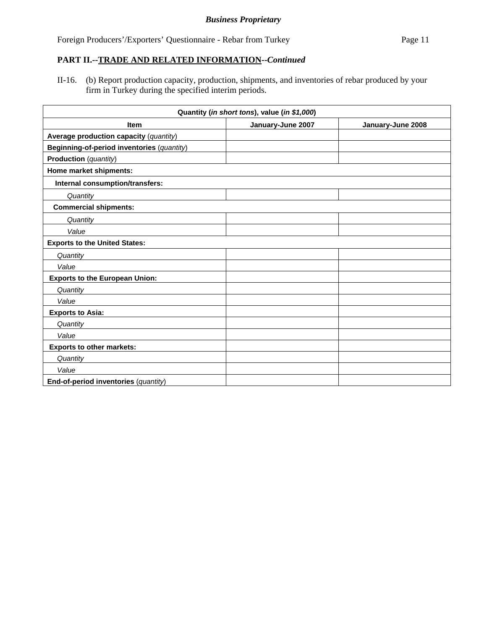## **PART II.--TRADE AND RELATED INFORMATION--***Continued*

II-16. (b) Report production capacity, production, shipments, and inventories of rebar produced by your firm in Turkey during the specified interim periods.

| Quantity (in short tons), value (in \$1,000) |                   |                   |  |  |
|----------------------------------------------|-------------------|-------------------|--|--|
| <b>Item</b>                                  | January-June 2007 | January-June 2008 |  |  |
| Average production capacity (quantity)       |                   |                   |  |  |
| Beginning-of-period inventories (quantity)   |                   |                   |  |  |
| <b>Production</b> (quantity)                 |                   |                   |  |  |
| Home market shipments:                       |                   |                   |  |  |
| Internal consumption/transfers:              |                   |                   |  |  |
| Quantity                                     |                   |                   |  |  |
| <b>Commercial shipments:</b>                 |                   |                   |  |  |
| Quantity                                     |                   |                   |  |  |
| Value                                        |                   |                   |  |  |
| <b>Exports to the United States:</b>         |                   |                   |  |  |
| Quantity                                     |                   |                   |  |  |
| Value                                        |                   |                   |  |  |
| <b>Exports to the European Union:</b>        |                   |                   |  |  |
| Quantity                                     |                   |                   |  |  |
| Value                                        |                   |                   |  |  |
| <b>Exports to Asia:</b>                      |                   |                   |  |  |
| Quantity                                     |                   |                   |  |  |
| Value                                        |                   |                   |  |  |
| <b>Exports to other markets:</b>             |                   |                   |  |  |
| Quantity                                     |                   |                   |  |  |
| Value                                        |                   |                   |  |  |
| End-of-period inventories (quantity)         |                   |                   |  |  |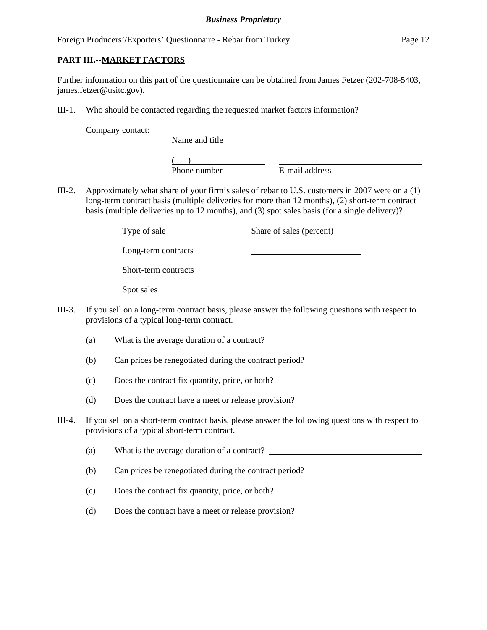## **PART III.--MARKET FACTORS**

Further information on this part of the questionnaire can be obtained from James Fetzer (202-708-5403, james.fetzer@usitc.gov).

III-1. Who should be contacted regarding the requested market factors information?

|          |                                                                                                                                                   | Company contact:                                                                                                                                |                |  |                                                                                                                                                                                                                                                                                                     |
|----------|---------------------------------------------------------------------------------------------------------------------------------------------------|-------------------------------------------------------------------------------------------------------------------------------------------------|----------------|--|-----------------------------------------------------------------------------------------------------------------------------------------------------------------------------------------------------------------------------------------------------------------------------------------------------|
|          |                                                                                                                                                   |                                                                                                                                                 | Name and title |  |                                                                                                                                                                                                                                                                                                     |
|          |                                                                                                                                                   |                                                                                                                                                 | Phone number   |  | E-mail address                                                                                                                                                                                                                                                                                      |
| $III-2.$ |                                                                                                                                                   |                                                                                                                                                 |                |  | Approximately what share of your firm's sales of rebar to U.S. customers in 2007 were on a (1)<br>long-term contract basis (multiple deliveries for more than 12 months), (2) short-term contract<br>basis (multiple deliveries up to 12 months), and (3) spot sales basis (for a single delivery)? |
|          |                                                                                                                                                   | Type of sale                                                                                                                                    |                |  | Share of sales (percent)                                                                                                                                                                                                                                                                            |
|          |                                                                                                                                                   | Long-term contracts                                                                                                                             |                |  |                                                                                                                                                                                                                                                                                                     |
|          |                                                                                                                                                   | Short-term contracts                                                                                                                            |                |  |                                                                                                                                                                                                                                                                                                     |
|          |                                                                                                                                                   | Spot sales                                                                                                                                      |                |  |                                                                                                                                                                                                                                                                                                     |
| $III-3.$ |                                                                                                                                                   | If you sell on a long-term contract basis, please answer the following questions with respect to<br>provisions of a typical long-term contract. |                |  |                                                                                                                                                                                                                                                                                                     |
|          | (a)                                                                                                                                               | What is the average duration of a contract?                                                                                                     |                |  |                                                                                                                                                                                                                                                                                                     |
|          | (b)                                                                                                                                               |                                                                                                                                                 |                |  | Can prices be renegotiated during the contract period?                                                                                                                                                                                                                                              |
|          | (c)                                                                                                                                               | Does the contract fix quantity, price, or both?                                                                                                 |                |  |                                                                                                                                                                                                                                                                                                     |
|          | (d)                                                                                                                                               | Does the contract have a meet or release provision?                                                                                             |                |  |                                                                                                                                                                                                                                                                                                     |
| $III-4.$ | If you sell on a short-term contract basis, please answer the following questions with respect to<br>provisions of a typical short-term contract. |                                                                                                                                                 |                |  |                                                                                                                                                                                                                                                                                                     |
|          | (a)                                                                                                                                               |                                                                                                                                                 |                |  |                                                                                                                                                                                                                                                                                                     |
|          | (b)                                                                                                                                               | Can prices be renegotiated during the contract period?<br><u>Can prices</u> be renegotiated during the contract period?                         |                |  |                                                                                                                                                                                                                                                                                                     |
|          | (c)                                                                                                                                               | Does the contract fix quantity, price, or both?                                                                                                 |                |  |                                                                                                                                                                                                                                                                                                     |
|          | (d)                                                                                                                                               |                                                                                                                                                 |                |  | Does the contract have a meet or release provision?                                                                                                                                                                                                                                                 |
|          |                                                                                                                                                   |                                                                                                                                                 |                |  |                                                                                                                                                                                                                                                                                                     |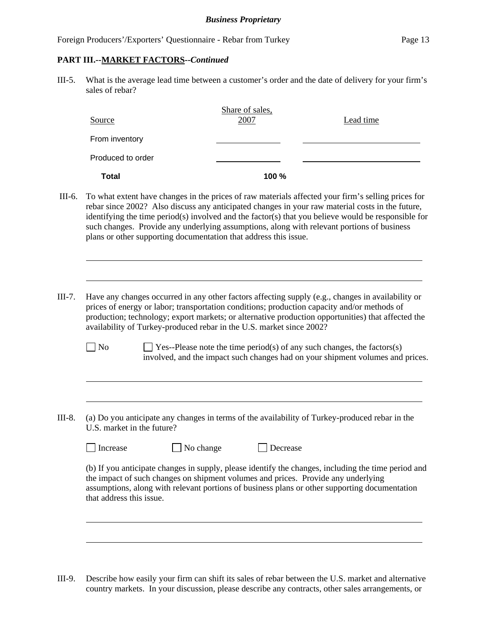#### **PART III.--MARKET FACTORS--***Continued*

III-5. What is the average lead time between a customer's order and the date of delivery for your firm's sales of rebar?

| Source            | Share of sales,<br>2007 | Lead time |  |
|-------------------|-------------------------|-----------|--|
| From inventory    |                         |           |  |
| Produced to order |                         |           |  |
| <b>Total</b>      | 100 %                   |           |  |

- III-6. To what extent have changes in the prices of raw materials affected your firm's selling prices for rebar since 2002? Also discuss any anticipated changes in your raw material costs in the future, identifying the time period(s) involved and the factor(s) that you believe would be responsible for such changes. Provide any underlying assumptions, along with relevant portions of business plans or other supporting documentation that address this issue.
- III-7. Have any changes occurred in any other factors affecting supply (e.g., changes in availability or prices of energy or labor; transportation conditions; production capacity and/or methods of production; technology; export markets; or alternative production opportunities) that affected the availability of Turkey-produced rebar in the U.S. market since 2002?
	- $\Box$  No  $\Box$  Yes--Please note the time period(s) of any such changes, the factors(s) involved, and the impact such changes had on your shipment volumes and prices.
- III-8. (a) Do you anticipate any changes in terms of the availability of Turkey-produced rebar in the U.S. market in the future?

| increase |  |
|----------|--|
|----------|--|

l

 $\overline{a}$ 

l

 $\Box$  No change  $\Box$  Decrease

(b) If you anticipate changes in supply, please identify the changes, including the time period and the impact of such changes on shipment volumes and prices. Provide any underlying assumptions, along with relevant portions of business plans or other supporting documentation that address this issue.

III-9. Describe how easily your firm can shift its sales of rebar between the U.S. market and alternative country markets. In your discussion, please describe any contracts, other sales arrangements, or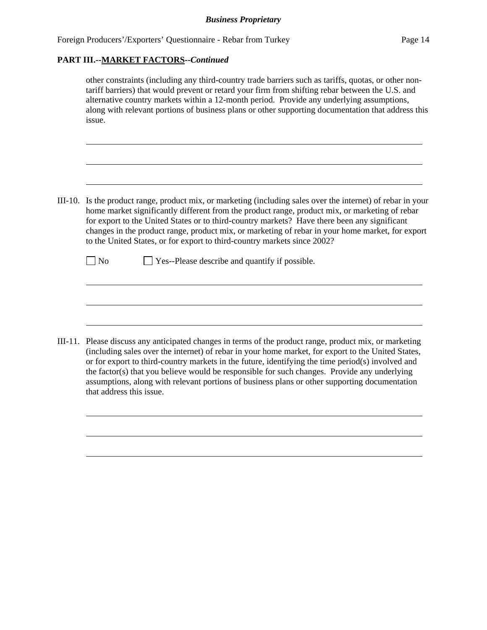## **PART III.--MARKET FACTORS--***Continued*

that address this issue.

 $\overline{a}$ 

|         | other constraints (including any third-country trade barriers such as tariffs, quotas, or other non-<br>tariff barriers) that would prevent or retard your firm from shifting rebar between the U.S. and<br>alternative country markets within a 12-month period. Provide any underlying assumptions,<br>along with relevant portions of business plans or other supporting documentation that address this<br>issue.                                                                  |  |  |  |  |
|---------|----------------------------------------------------------------------------------------------------------------------------------------------------------------------------------------------------------------------------------------------------------------------------------------------------------------------------------------------------------------------------------------------------------------------------------------------------------------------------------------|--|--|--|--|
|         |                                                                                                                                                                                                                                                                                                                                                                                                                                                                                        |  |  |  |  |
| III-10. | Is the product range, product mix, or marketing (including sales over the internet) of rebar in your<br>home market significantly different from the product range, product mix, or marketing of rebar<br>for export to the United States or to third-country markets? Have there been any significant<br>changes in the product range, product mix, or marketing of rebar in your home market, for export<br>to the United States, or for export to third-country markets since 2002? |  |  |  |  |
|         | Yes--Please describe and quantify if possible.<br>N <sub>o</sub>                                                                                                                                                                                                                                                                                                                                                                                                                       |  |  |  |  |
|         |                                                                                                                                                                                                                                                                                                                                                                                                                                                                                        |  |  |  |  |
|         | III-11. Please discuss any anticipated changes in terms of the product range, product mix, or marketing<br>(including sales over the internet) of rebar in your home market, for export to the United States,<br>or for export to third-country markets in the future, identifying the time period(s) involved and<br>the factor( $s$ ) that you believe would be responsible for such changes. Provide any underlying                                                                 |  |  |  |  |

assumptions, along with relevant portions of business plans or other supporting documentation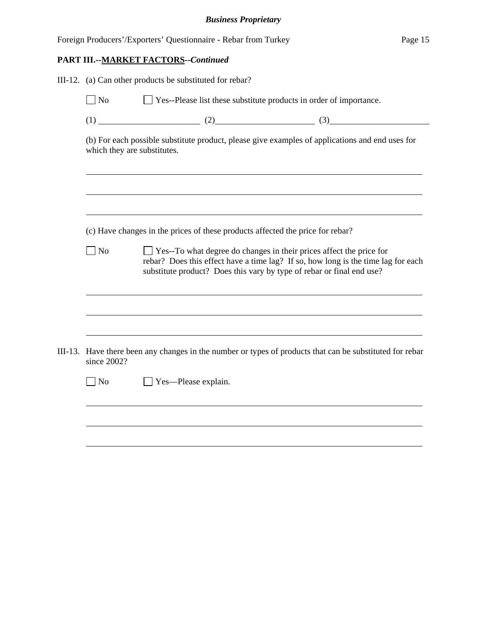|  |                             | PART III.--MARKET FACTORS--Continued                                                                                                                                                                                                     |                                                                                                                                                                                     |  |  |  |
|--|-----------------------------|------------------------------------------------------------------------------------------------------------------------------------------------------------------------------------------------------------------------------------------|-------------------------------------------------------------------------------------------------------------------------------------------------------------------------------------|--|--|--|
|  |                             | III-12. (a) Can other products be substituted for rebar?                                                                                                                                                                                 |                                                                                                                                                                                     |  |  |  |
|  | $\Box$ No                   |                                                                                                                                                                                                                                          | □ Yes--Please list these substitute products in order of importance.                                                                                                                |  |  |  |
|  |                             |                                                                                                                                                                                                                                          | $(1)$ (1) (2) (3)                                                                                                                                                                   |  |  |  |
|  | which they are substitutes. |                                                                                                                                                                                                                                          | (b) For each possible substitute product, please give examples of applications and end uses for<br>,我们也不会有一个人的人,我们也不会有一个人的人,我们也不会有一个人的人。""我们,我们也不会有一个人的人,我们也不会有一个人的人。""我们,我们也不会有一个人 |  |  |  |
|  |                             |                                                                                                                                                                                                                                          | <u> 1989 - Johann Barn, mars ann an t-Amhain ann an t-Amhain ann an t-Amhain ann an t-Amhain an t-Amhain ann an t-</u>                                                              |  |  |  |
|  |                             | (c) Have changes in the prices of these products affected the price for rebar?                                                                                                                                                           |                                                                                                                                                                                     |  |  |  |
|  | $\Box$ No                   | $\Box$ Yes--To what degree do changes in their prices affect the price for<br>rebar? Does this effect have a time lag? If so, how long is the time lag for each<br>substitute product? Does this vary by type of rebar or final end use? |                                                                                                                                                                                     |  |  |  |
|  |                             |                                                                                                                                                                                                                                          |                                                                                                                                                                                     |  |  |  |
|  | since 2002?                 |                                                                                                                                                                                                                                          | III-13. Have there been any changes in the number or types of products that can be substituted for rebar                                                                            |  |  |  |
|  | $\Box$ No                   | $\Box$ Yes—Please explain.                                                                                                                                                                                                               |                                                                                                                                                                                     |  |  |  |
|  |                             |                                                                                                                                                                                                                                          |                                                                                                                                                                                     |  |  |  |
|  |                             |                                                                                                                                                                                                                                          |                                                                                                                                                                                     |  |  |  |
|  |                             |                                                                                                                                                                                                                                          |                                                                                                                                                                                     |  |  |  |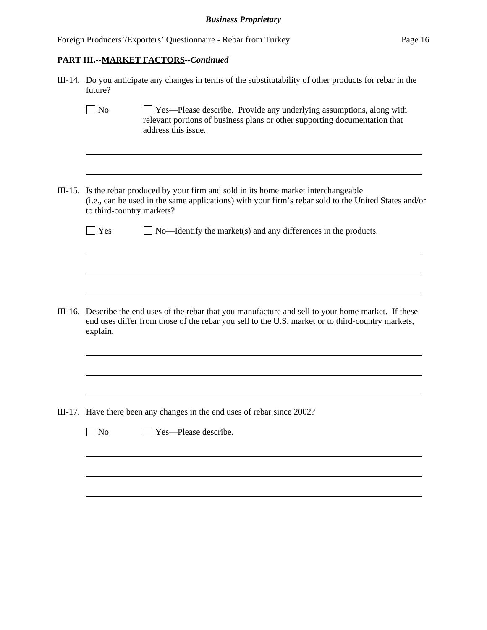# **PART III.--MARKET FACTORS--***Continued*

| III-14. Do you anticipate any changes in terms of the substitutability of other products for rebar in the<br>future?                                                                                                        |  |  |  |  |
|-----------------------------------------------------------------------------------------------------------------------------------------------------------------------------------------------------------------------------|--|--|--|--|
| $\sqrt{\phantom{a}}$ No<br>Yes—Please describe. Provide any underlying assumptions, along with<br>relevant portions of business plans or other supporting documentation that<br>address this issue.                         |  |  |  |  |
| III-15. Is the rebar produced by your firm and sold in its home market interchangeable<br>(i.e., can be used in the same applications) with your firm's rebar sold to the United States and/or<br>to third-country markets? |  |  |  |  |
| $\Box$ No—Identify the market(s) and any differences in the products.<br>$\vert$ Yes                                                                                                                                        |  |  |  |  |
|                                                                                                                                                                                                                             |  |  |  |  |
| III-16. Describe the end uses of the rebar that you manufacture and sell to your home market. If these<br>end uses differ from those of the rebar you sell to the U.S. market or to third-country markets,<br>explain.      |  |  |  |  |
|                                                                                                                                                                                                                             |  |  |  |  |
| III-17. Have there been any changes in the end uses of rebar since 2002?                                                                                                                                                    |  |  |  |  |
| Yes-Please describe.<br>No                                                                                                                                                                                                  |  |  |  |  |
|                                                                                                                                                                                                                             |  |  |  |  |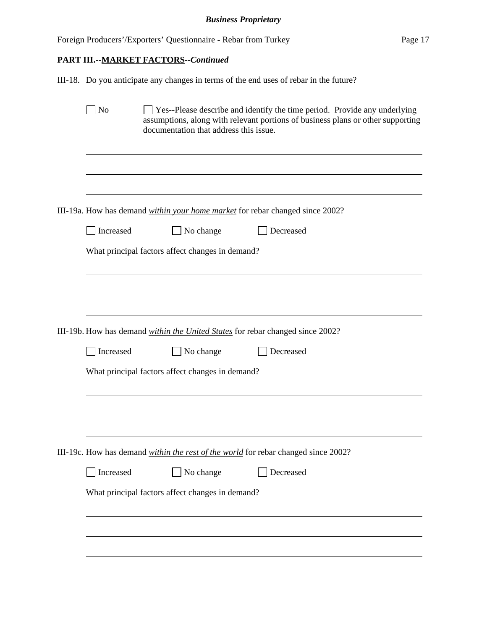|                             | Foreign Producers'/Exporters' Questionnaire - Rebar from Turkey                        |                                                                                                                                                                     | Page 17 |
|-----------------------------|----------------------------------------------------------------------------------------|---------------------------------------------------------------------------------------------------------------------------------------------------------------------|---------|
|                             | PART III.--MARKET FACTORS--Continued                                                   |                                                                                                                                                                     |         |
|                             | III-18. Do you anticipate any changes in terms of the end uses of rebar in the future? |                                                                                                                                                                     |         |
| $\overline{\phantom{a}}$ No | documentation that address this issue.                                                 | $\Box$ Yes--Please describe and identify the time period. Provide any underlying<br>assumptions, along with relevant portions of business plans or other supporting |         |
|                             | III-19a. How has demand <i>within your home market</i> for rebar changed since 2002?   |                                                                                                                                                                     |         |
| Increased                   | $\Box$ No change                                                                       | Decreased                                                                                                                                                           |         |
|                             | What principal factors affect changes in demand?                                       |                                                                                                                                                                     |         |
|                             | III-19b. How has demand <i>within the United States</i> for rebar changed since 2002?  |                                                                                                                                                                     |         |
| Increased                   | $\Box$ No change                                                                       | Decreased                                                                                                                                                           |         |
|                             | What principal factors affect changes in demand?                                       |                                                                                                                                                                     |         |
|                             | III-19c. How has demand within the rest of the world for rebar changed since 2002?     |                                                                                                                                                                     |         |
| Increased                   | $\Box$ No change                                                                       | Decreased                                                                                                                                                           |         |
|                             | What principal factors affect changes in demand?                                       |                                                                                                                                                                     |         |
|                             |                                                                                        |                                                                                                                                                                     |         |
|                             |                                                                                        |                                                                                                                                                                     |         |
|                             |                                                                                        |                                                                                                                                                                     |         |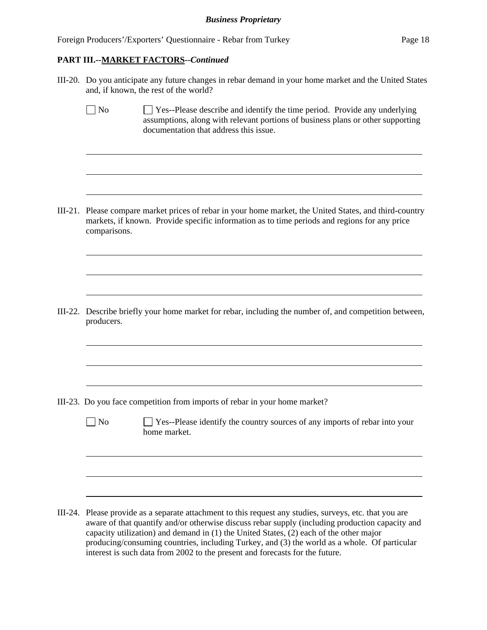$\overline{a}$ 

 $\overline{a}$ 

 $\overline{a}$ 

 $\overline{a}$ 

III-20. Do you anticipate any future changes in rebar demand in your home market and the United States and, if known, the rest of the world?

 $\Box$  No  $\Box$  Yes--Please describe and identify the time period. Provide any underlying assumptions, along with relevant portions of business plans or other supporting documentation that address this issue.

III-21. Please compare market prices of rebar in your home market, the United States, and third-country markets, if known. Provide specific information as to time periods and regions for any price comparisons.

III-22. Describe briefly your home market for rebar, including the number of, and competition between, producers.

- III-23. Do you face competition from imports of rebar in your home market?
	- $\Box$  No  $\Box$  Yes--Please identify the country sources of any imports of rebar into your home market.

III-24. Please provide as a separate attachment to this request any studies, surveys, etc. that you are aware of that quantify and/or otherwise discuss rebar supply (including production capacity and capacity utilization) and demand in (1) the United States, (2) each of the other major producing/consuming countries, including Turkey, and (3) the world as a whole. Of particular interest is such data from 2002 to the present and forecasts for the future.